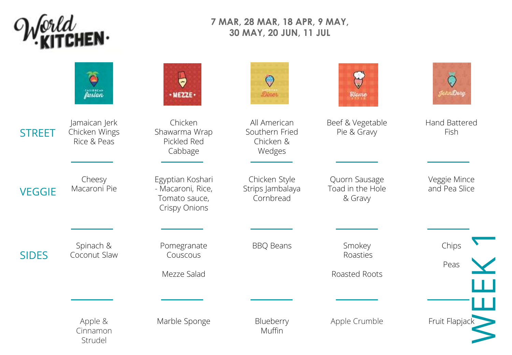

## **7 MAR, 28 MAR, 18 APR, 9 MAY, 30 MAY, 20 JUN, 11 JUL**

|               | essuress.<br><b>fusion</b>                    | ٥<br>Mezze                                                              | Q<br><b>Dines</b>                                     | <i><b>Eleme</b></i>                          |                               |
|---------------|-----------------------------------------------|-------------------------------------------------------------------------|-------------------------------------------------------|----------------------------------------------|-------------------------------|
| <b>STREET</b> | Jamaican Jerk<br>Chicken Wings<br>Rice & Peas | Chicken<br>Shawarma Wrap<br>Pickled Red<br>Cabbage                      | All American<br>Southern Fried<br>Chicken &<br>Wedges | Beef & Vegetable<br>Pie & Gravy              | Hand Battered<br>Fish         |
| <b>VEGGIE</b> | Cheesy<br>Macaroni Pie                        | Egyptian Koshari<br>- Macaroni, Rice,<br>Tomato sauce,<br>Crispy Onions | Chicken Style<br>Strips Jambalaya<br>Cornbread        | Quorn Sausage<br>Toad in the Hole<br>& Gravy | Veggie Mince<br>and Pea Slice |
|               |                                               |                                                                         |                                                       |                                              |                               |
| <b>SIDES</b>  | Spinach &<br>Coconut Slaw                     | Pomegranate<br>Couscous                                                 | <b>BBQ Beans</b>                                      | Smokey<br>Roasties                           | Chips<br>Peas                 |
|               |                                               | Mezze Salad                                                             |                                                       | Roasted Roots                                |                               |
|               |                                               |                                                                         |                                                       |                                              |                               |
|               | Apple &<br>Cinnamon<br>Strudel                | Marble Sponge                                                           | Blueberry<br>Muffin                                   | Apple Crumble                                | Fruit Flapjack                |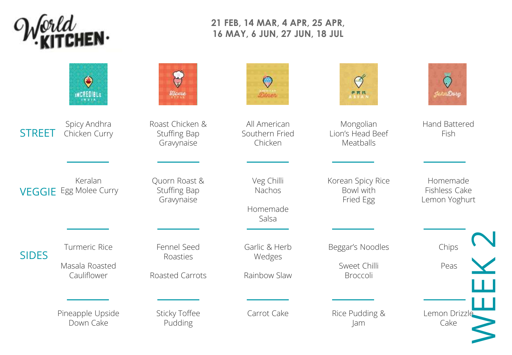

## **21 FEB, 14 MAR, 4 APR, 25 APR, 16 MAY, 6 JUN, 27 JUN, 18 JUL**

|               | O<br>INCREDIBLE                                | Elome                                         | <b>Sinet</b>                              | PRN                                          | de en Deru                                 |
|---------------|------------------------------------------------|-----------------------------------------------|-------------------------------------------|----------------------------------------------|--------------------------------------------|
| <b>STREET</b> | Spicy Andhra<br>Chicken Curry                  | Roast Chicken &<br>Stuffing Bap<br>Gravynaise | All American<br>Southern Fried<br>Chicken | Mongolian<br>Lion's Head Beef<br>Meatballs   | <b>Hand Battered</b><br>Fish               |
|               | Keralan<br><b>VEGGIE</b> Egg Molee Curry       | Quorn Roast &<br>Stuffing Bap<br>Gravynaise   | Veg Chilli<br>Nachos<br>Homemade<br>Salsa | Korean Spicy Rice<br>Bowl with<br>Fried Egg  | Homemade<br>Fishless Cake<br>Lemon Yoghurt |
| <b>SIDES</b>  | Turmeric Rice<br>Masala Roasted<br>Cauliflower | Fennel Seed<br>Roasties<br>Roasted Carrots    | Garlic & Herb<br>Wedges<br>Rainbow Slaw   | Beggar's Noodles<br>Sweet Chilli<br>Broccoli | Chips<br>Peas                              |
|               | Pineapple Upside<br>Down Cake                  | <b>Sticky Toffee</b><br>Pudding               | Carrot Cake                               | Rice Pudding &<br>Jam                        | Lemon Drizzle<br>Cake                      |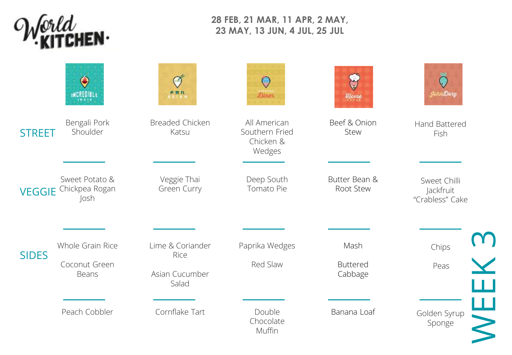

## **28 FEB, 21 MAR, 11 APR, 2 MAY, 23 MAY, 13 JUN, 4 JUL, 25 JUL**

|               | $\mathbf \Theta$<br><b>INCREDIBLE</b>    | PRN<br>N ≦   A N           | Çγ<br><b>Bines</b>                                    | Elome                      | tciviDory                                    |
|---------------|------------------------------------------|----------------------------|-------------------------------------------------------|----------------------------|----------------------------------------------|
| <b>STREET</b> | Bengali Pork<br>Shoulder                 | Breaded Chicken<br>Katsu   | All American<br>Southern Fried<br>Chicken &<br>Wedges | Beef & Onion<br>Stew       | Hand Battered<br>Fish                        |
| <b>VEGGIE</b> | Sweet Potato &<br>Chickpea Rogan<br>Josh | Veggie Thai<br>Green Curry | Deep South<br>Tomato Pie                              | Butter Bean &<br>Root Stew | Sweet Chilli<br>Jackfruit<br>"Crabless" Cake |
|               |                                          |                            |                                                       |                            |                                              |
| <b>SIDES</b>  | Whole Grain Rice                         | Lime & Coriander<br>Rice   | Paprika Wedges                                        | Mash                       | Chips                                        |
|               | Coconut Green<br>Beans                   | Asian Cucumber<br>Salad    | Red Slaw                                              | <b>Buttered</b><br>Cabbage | Peas                                         |
|               |                                          |                            |                                                       |                            |                                              |
|               | Peach Cobbler                            | Cornflake Tart             | Double<br>Chocolate<br>Muffin                         | Banana Loaf                | Golden Syrup<br>Sponge                       |